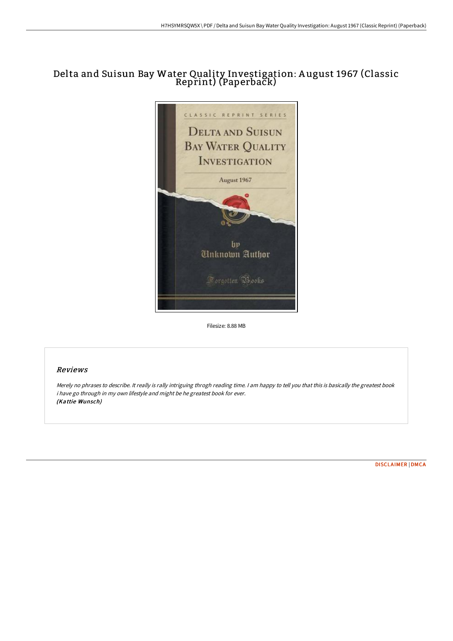# Delta and Suisun Bay Water Quality Investigation: A ugust 1967 (Classic Reprint) (Paperback)



Filesize: 8.88 MB

## Reviews

Merely no phrases to describe. It really is rally intriguing throgh reading time. I am happy to tell you that this is basically the greatest book i have go through in my own lifestyle and might be he greatest book for ever. (Kattie Wunsch)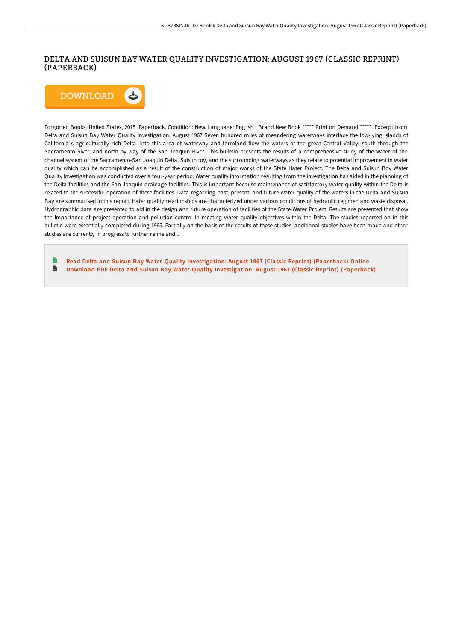## DELTA AND SUISUN BAY WATER QUALITY INVESTIGATION: AUGUST 1967 (CLASSIC REPRINT) (PAPERBACK)



Forgotten Books, United States, 2015. Paperback. Condition: New. Language: English . Brand New Book \*\*\*\*\* Print on Demand \*\*\*\*\*. Excerpt from Delta and Suisun Bay Water Quality Investigation: August 1967 Seven hundred miles of meandering waterways interlace the low-lying islands of California s agriculturally rich Delta. Into this area of waterway and farmland flow the waters of the great Central Valley; south through the Sacramento River, and north by way of the San Joaquin River. This bulletin presents the results of a comprehensive study of the water of the channel system of the Sacramento-San Joaquin Delta, Suisun toy, and the surrounding waterways as they relate to potential improvement in water quality which can be accomplished as a result of the construction of major works of the State Hater Project. The Delta and Suisun Boy Water Quality Investigation was conducted over a four-year period. Water quality information resulting from the investigation has aided in the planning of the Delta facilities and the San Joaquin drainage facilities. This is important because maintenance of satisfactory water quality within the Delta is related to the successful operation of these facilities. Data regarding past, present, and future water quality of the waters in the Delta and Suisun Bay are summarised in this report. Hater quality relationships are characterized under various conditions of hydraulic regimen and waste disposal. Hydrographic data are presented to aid in the design and future operation of facilities of the State Water Project. Results are presented that show the Importance of project operation and pollution control in meeting water quality objectives within the Delta. The studies reported on in this bulletin were essentially completed during 1965. Partially on the basis of the results of these studies, additional studies have been made and other studies are currently in progress to further refine and...

B Read Delta and Suisun Bay Water Quality [Investigation:](http://www.bookdirs.com/delta-and-suisun-bay-water-quality-investigation.html) August 1967 (Classic Reprint) (Paperback) Online B Download PDF Delta and Suisun Bay Water Quality [Investigation:](http://www.bookdirs.com/delta-and-suisun-bay-water-quality-investigation.html) August 1967 (Classic Reprint) (Paperback)